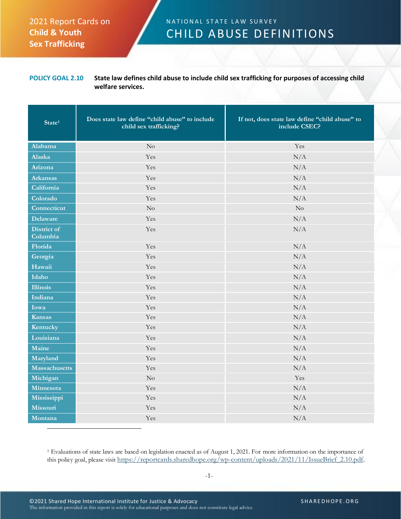## 2021 Report Cards on **Child & Youth Sex Trafficking**

## N A T I O N A L S T A T E L A W S U R V E Y CHILD ABUSE DEFINITIONS

## **POLICY GOAL 2.10 State law defines child abuse to include child sex trafficking for purposes of accessing child welfare services.**

| State <sup>1</sup>      | Does state law define "child abuse" to include<br>child sex trafficking? | If not, does state law define "child abuse" to<br>include CSEC? |
|-------------------------|--------------------------------------------------------------------------|-----------------------------------------------------------------|
| Alabama                 | $\rm No$                                                                 | Yes                                                             |
| Alaska                  | Yes                                                                      | N/A                                                             |
| Arizona                 | Yes                                                                      | N/A                                                             |
| <b>Arkansas</b>         | Yes                                                                      | N/A                                                             |
| California              | Yes                                                                      | N/A                                                             |
| Colorado                | Yes                                                                      | N/A                                                             |
| Connecticut             | $\rm No$                                                                 | $\rm No$                                                        |
| <b>Delaware</b>         | Yes                                                                      | N/A                                                             |
| District of<br>Columbia | Yes                                                                      | N/A                                                             |
| Florida                 | Yes                                                                      | N/A                                                             |
| Georgia                 | Yes                                                                      | N/A                                                             |
| Hawaii                  | Yes                                                                      | N/A                                                             |
| Idaho                   | Yes                                                                      | N/A                                                             |
| <b>Illinois</b>         | Yes                                                                      | N/A                                                             |
| Indiana                 | Yes                                                                      | N/A                                                             |
| Iowa                    | Yes                                                                      | N/A                                                             |
| <b>Kansas</b>           | Yes                                                                      | N/A                                                             |
| Kentucky                | Yes                                                                      | N/A                                                             |
| Louisiana               | Yes                                                                      | N/A                                                             |
| Maine                   | Yes                                                                      | N/A                                                             |
| Maryland                | Yes                                                                      | N/A                                                             |
| <b>Massachusetts</b>    | Yes                                                                      | N/A                                                             |
| Michigan                | $\rm No$                                                                 | Yes                                                             |
| Minnesota               | Yes                                                                      | N/A                                                             |
| Mississippi             | Yes                                                                      | N/A                                                             |
| Missouri                | Yes                                                                      | N/A                                                             |
| Montana                 | Yes                                                                      | N/A                                                             |

<sup>1</sup> Evaluations of state laws are based on legislation enacted as of August 1, 2021. For more information on the importance of this policy goal, please visit [https://reportcards.sharedhope.org/wp-content/uploads/2021/11/IssueBrief\\_2.10.pdf.](https://reportcards.sharedhope.org/wp-content/uploads/2021/11/IssueBrief_2.10.pdf)